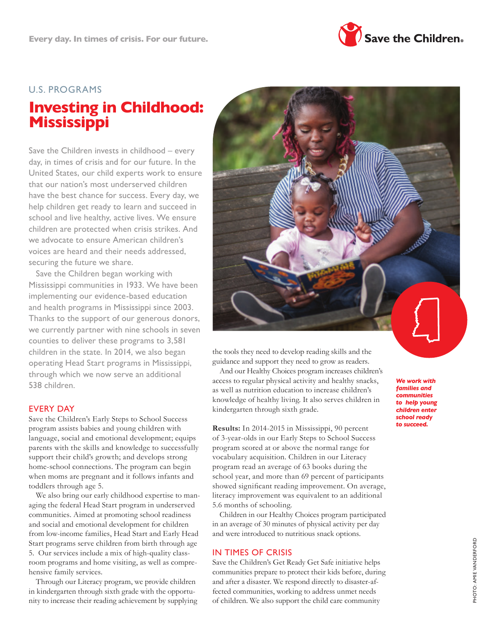

# U.S. PROGRAMS

# **Investing in Childhood: Mississippi**

Save the Children invests in childhood – every day, in times of crisis and for our future. In the United States, our child experts work to ensure that our nation's most underserved children have the best chance for success. Every day, we help children get ready to learn and succeed in school and live healthy, active lives. We ensure children are protected when crisis strikes. And we advocate to ensure American children's voices are heard and their needs addressed, securing the future we share.

Save the Children began working with Mississippi communities in 1933. We have been implementing our evidence-based education and health programs in Mississippi since 2003. Thanks to the support of our generous donors, we currently partner with nine schools in seven counties to deliver these programs to 3,581 children in the state. In 2014, we also began operating Head Start programs in Mississippi, through which we now serve an additional 538 children.

#### EVERY DAY

Save the Children's Early Steps to School Success program assists babies and young children with language, social and emotional development; equips parents with the skills and knowledge to successfully support their child's growth; and develops strong home-school connections. The program can begin when moms are pregnant and it follows infants and toddlers through age 5.

We also bring our early childhood expertise to managing the federal Head Start program in underserved communities. Aimed at promoting school readiness and social and emotional development for children from low-income families, Head Start and Early Head Start programs serve children from birth through age 5. Our services include a mix of high-quality classroom programs and home visiting, as well as comprehensive family services.

Through our Literacy program, we provide children in kindergarten through sixth grade with the opportunity to increase their reading achievement by supplying



the tools they need to develop reading skills and the guidance and support they need to grow as readers.

And our Healthy Choices program increases children's access to regular physical activity and healthy snacks, as well as nutrition education to increase children's knowledge of healthy living. It also serves children in kindergarten through sixth grade.

**Results:** In 2014-2015 in Mississippi, 90 percent of 3-year-olds in our Early Steps to School Success program scored at or above the normal range for vocabulary acquisition. Children in our Literacy program read an average of 63 books during the school year, and more than 69 percent of participants showed significant reading improvement. On average, literacy improvement was equivalent to an additional 5.6 months of schooling.

Children in our Healthy Choices program participated in an average of 30 minutes of physical activity per day and were introduced to nutritious snack options.

#### IN TIMES OF CRISIS

Save the Children's Get Ready Get Safe initiative helps communities prepare to protect their kids before, during and after a disaster. We respond directly to disaster-affected communities, working to address unmet needs of children. We also support the child care community

*We work with families and communities to help young children enter school ready to succeed.*